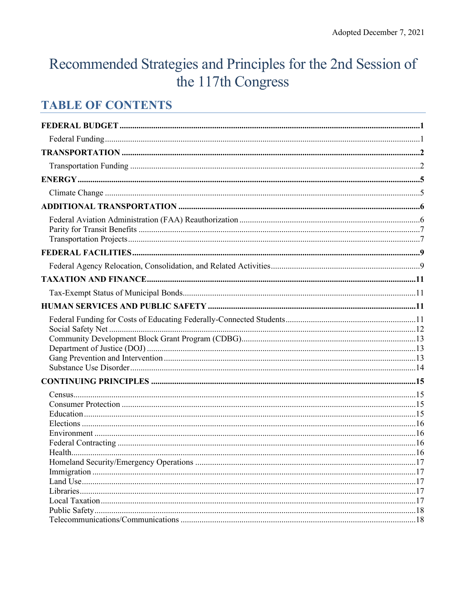# Recommended Strategies and Principles for the 2nd Session of the 117th Congress

## **TABLE OF CONTENTS**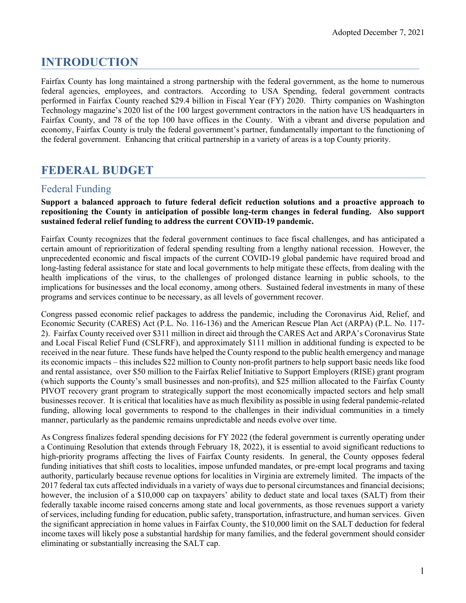## **INTRODUCTION**

Fairfax County has long maintained a strong partnership with the federal government, as the home to numerous federal agencies, employees, and contractors. According to USA Spending, federal government contracts performed in Fairfax County reached \$29.4 billion in Fiscal Year (FY) 2020. Thirty companies on Washington Technology magazine's 2020 list of the 100 largest government contractors in the nation have US headquarters in Fairfax County, and 78 of the top 100 have offices in the County. With a vibrant and diverse population and economy, Fairfax County is truly the federal government's partner, fundamentally important to the functioning of the federal government. Enhancing that critical partnership in a variety of areas is a top County priority.

## <span id="page-1-0"></span>**FEDERAL BUDGET**

#### <span id="page-1-1"></span>Federal Funding

#### **Support a balanced approach to future federal deficit reduction solutions and a proactive approach to repositioning the County in anticipation of possible long-term changes in federal funding. Also support sustained federal relief funding to address the current COVID-19 pandemic.**

Fairfax County recognizes that the federal government continues to face fiscal challenges, and has anticipated a certain amount of reprioritization of federal spending resulting from a lengthy national recession. However, the unprecedented economic and fiscal impacts of the current COVID-19 global pandemic have required broad and long-lasting federal assistance for state and local governments to help mitigate these effects, from dealing with the health implications of the virus, to the challenges of prolonged distance learning in public schools, to the implications for businesses and the local economy, among others. Sustained federal investments in many of these programs and services continue to be necessary, as all levels of government recover.

Congress passed economic relief packages to address the pandemic, including the Coronavirus Aid, Relief, and Economic Security (CARES) Act (P.L. No. 116-136) and the American Rescue Plan Act (ARPA) (P.L. No. 117- 2). Fairfax County received over \$311 million in direct aid through the CARES Act and ARPA's Coronavirus State and Local Fiscal Relief Fund (CSLFRF), and approximately \$111 million in additional funding is expected to be received in the near future. These funds have helped the County respond to the public health emergency and manage its economic impacts – this includes \$22 million to County non-profit partners to help support basic needs like food and rental assistance, over \$50 million to the Fairfax Relief Initiative to Support Employers (RISE) grant program (which supports the County's small businesses and non-profits), and \$25 million allocated to the Fairfax County PIVOT recovery grant program to strategically support the most economically impacted sectors and help small businesses recover. It is critical that localities have as much flexibility as possible in using federal pandemic-related funding, allowing local governments to respond to the challenges in their individual communities in a timely manner, particularly as the pandemic remains unpredictable and needs evolve over time.

As Congress finalizes federal spending decisions for FY 2022 (the federal government is currently operating under a Continuing Resolution that extends through February 18, 2022), it is essential to avoid significant reductions to high-priority programs affecting the lives of Fairfax County residents. In general, the County opposes federal funding initiatives that shift costs to localities, impose unfunded mandates, or pre-empt local programs and taxing authority, particularly because revenue options for localities in Virginia are extremely limited. The impacts of the 2017 federal tax cuts affected individuals in a variety of ways due to personal circumstances and financial decisions; however, the inclusion of a \$10,000 cap on taxpayers' ability to deduct state and local taxes (SALT) from their federally taxable income raised concerns among state and local governments, as those revenues support a variety of services, including funding for education, public safety, transportation, infrastructure, and human services. Given the significant appreciation in home values in Fairfax County, the \$10,000 limit on the SALT deduction for federal income taxes will likely pose a substantial hardship for many families, and the federal government should consider eliminating or substantially increasing the SALT cap.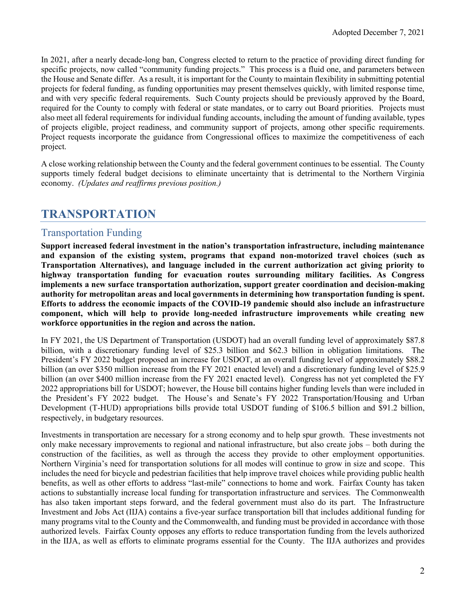In 2021, after a nearly decade-long ban, Congress elected to return to the practice of providing direct funding for specific projects, now called "community funding projects." This process is a fluid one, and parameters between the House and Senate differ. As a result, it is important for the County to maintain flexibility in submitting potential projects for federal funding, as funding opportunities may present themselves quickly, with limited response time, and with very specific federal requirements. Such County projects should be previously approved by the Board, required for the County to comply with federal or state mandates, or to carry out Board priorities. Projects must also meet all federal requirements for individual funding accounts, including the amount of funding available, types of projects eligible, project readiness, and community support of projects, among other specific requirements. Project requests incorporate the guidance from Congressional offices to maximize the competitiveness of each project.

A close working relationship between the County and the federal government continues to be essential. The County supports timely federal budget decisions to eliminate uncertainty that is detrimental to the Northern Virginia economy. *(Updates and reaffirms previous position.)*

## <span id="page-2-0"></span>**TRANSPORTATION**

#### <span id="page-2-1"></span>Transportation Funding

**Support increased federal investment in the nation's transportation infrastructure, including maintenance and expansion of the existing system, programs that expand non-motorized travel choices (such as Transportation Alternatives), and language included in the current authorization act giving priority to highway transportation funding for evacuation routes surrounding military facilities. As Congress implements a new surface transportation authorization, support greater coordination and decision-making authority for metropolitan areas and local governments in determining how transportation funding is spent. Efforts to address the economic impacts of the COVID-19 pandemic should also include an infrastructure component, which will help to provide long-needed infrastructure improvements while creating new workforce opportunities in the region and across the nation.**

In FY 2021, the US Department of Transportation (USDOT) had an overall funding level of approximately \$87.8 billion, with a discretionary funding level of \$25.3 billion and \$62.3 billion in obligation limitations. The President's FY 2022 budget proposed an increase for USDOT, at an overall funding level of approximately \$88.2 billion (an over \$350 million increase from the FY 2021 enacted level) and a discretionary funding level of \$25.9 billion (an over \$400 million increase from the FY 2021 enacted level). Congress has not yet completed the FY 2022 appropriations bill for USDOT; however, the House bill contains higher funding levels than were included in the President's FY 2022 budget. The House's and Senate's FY 2022 Transportation/Housing and Urban Development (T-HUD) appropriations bills provide total USDOT funding of \$106.5 billion and \$91.2 billion, respectively, in budgetary resources.

Investments in transportation are necessary for a strong economy and to help spur growth. These investments not only make necessary improvements to regional and national infrastructure, but also create jobs – both during the construction of the facilities, as well as through the access they provide to other employment opportunities. Northern Virginia's need for transportation solutions for all modes will continue to grow in size and scope. This includes the need for bicycle and pedestrian facilities that help improve travel choices while providing public health benefits, as well as other efforts to address "last-mile" connections to home and work. Fairfax County has taken actions to substantially increase local funding for transportation infrastructure and services. The Commonwealth has also taken important steps forward, and the federal government must also do its part. The Infrastructure Investment and Jobs Act (IIJA) contains a five-year surface transportation bill that includes additional funding for many programs vital to the County and the Commonwealth, and funding must be provided in accordance with those authorized levels. Fairfax County opposes any efforts to reduce transportation funding from the levels authorized in the IIJA, as well as efforts to eliminate programs essential for the County. The IIJA authorizes and provides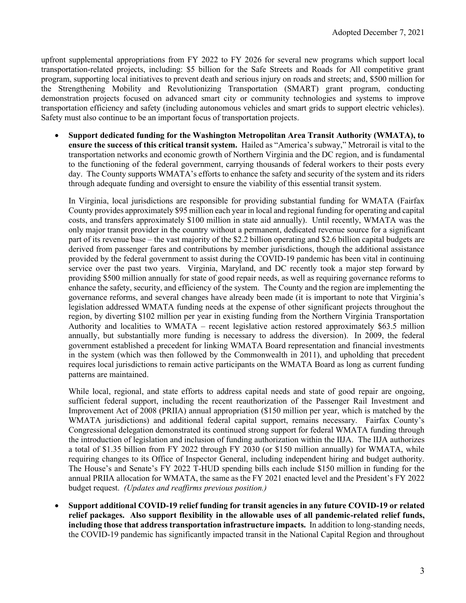upfront supplemental appropriations from FY 2022 to FY 2026 for several new programs which support local transportation-related projects, including: \$5 billion for the Safe Streets and Roads for All competitive grant program, supporting local initiatives to prevent death and serious injury on roads and streets; and, \$500 million for the Strengthening Mobility and Revolutionizing Transportation (SMART) grant program, conducting demonstration projects focused on advanced smart city or community technologies and systems to improve transportation efficiency and safety (including autonomous vehicles and smart grids to support electric vehicles). Safety must also continue to be an important focus of transportation projects.

• **Support dedicated funding for the Washington Metropolitan Area Transit Authority (WMATA), to ensure the success of this critical transit system.** Hailed as "America's subway," Metrorail is vital to the transportation networks and economic growth of Northern Virginia and the DC region, and is fundamental to the functioning of the federal government, carrying thousands of federal workers to their posts every day. The County supports WMATA's efforts to enhance the safety and security of the system and its riders through adequate funding and oversight to ensure the viability of this essential transit system.

In Virginia, local jurisdictions are responsible for providing substantial funding for WMATA (Fairfax County provides approximately \$95 million each year in local and regional funding for operating and capital costs, and transfers approximately \$100 million in state aid annually). Until recently, WMATA was the only major transit provider in the country without a permanent, dedicated revenue source for a significant part of its revenue base – the vast majority of the \$2.2 billion operating and \$2.6 billion capital budgets are derived from passenger fares and contributions by member jurisdictions, though the additional assistance provided by the federal government to assist during the COVID-19 pandemic has been vital in continuing service over the past two years. Virginia, Maryland, and DC recently took a major step forward by providing \$500 million annually for state of good repair needs, as well as requiring governance reforms to enhance the safety, security, and efficiency of the system. The County and the region are implementing the governance reforms, and several changes have already been made (it is important to note that Virginia's legislation addressed WMATA funding needs at the expense of other significant projects throughout the region, by diverting \$102 million per year in existing funding from the Northern Virginia Transportation Authority and localities to WMATA – recent legislative action restored approximately \$63.5 million annually, but substantially more funding is necessary to address the diversion). In 2009, the federal government established a precedent for linking WMATA Board representation and financial investments in the system (which was then followed by the Commonwealth in 2011), and upholding that precedent requires local jurisdictions to remain active participants on the WMATA Board as long as current funding patterns are maintained.

While local, regional, and state efforts to address capital needs and state of good repair are ongoing, sufficient federal support, including the recent reauthorization of the Passenger Rail Investment and Improvement Act of 2008 (PRIIA) annual appropriation (\$150 million per year, which is matched by the WMATA jurisdictions) and additional federal capital support, remains necessary. Fairfax County's Congressional delegation demonstrated its continued strong support for federal WMATA funding through the introduction of legislation and inclusion of funding authorization within the IIJA. The IIJA authorizes a total of \$1.35 billion from FY 2022 through FY 2030 (or \$150 million annually) for WMATA, while requiring changes to its Office of Inspector General, including independent hiring and budget authority. The House's and Senate's FY 2022 T-HUD spending bills each include \$150 million in funding for the annual PRIIA allocation for WMATA, the same as the FY 2021 enacted level and the President's FY 2022 budget request. *(Updates and reaffirms previous position.)*

• **Support additional COVID-19 relief funding for transit agencies in any future COVID-19 or related relief packages. Also support flexibility in the allowable uses of all pandemic-related relief funds, including those that address transportation infrastructure impacts.** In addition to long-standing needs, the COVID-19 pandemic has significantly impacted transit in the National Capital Region and throughout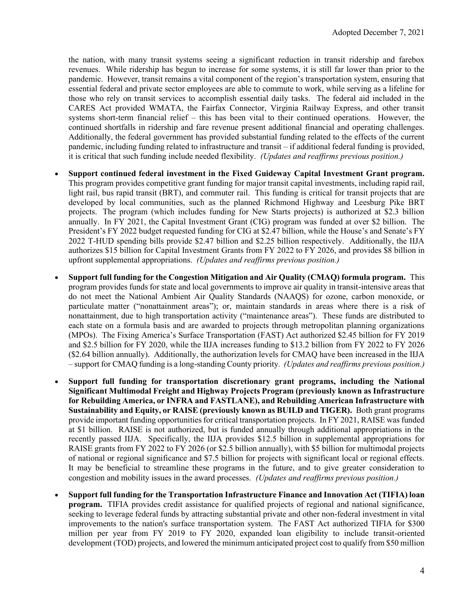the nation, with many transit systems seeing a significant reduction in transit ridership and farebox revenues. While ridership has begun to increase for some systems, it is still far lower than prior to the pandemic. However, transit remains a vital component of the region's transportation system, ensuring that essential federal and private sector employees are able to commute to work, while serving as a lifeline for those who rely on transit services to accomplish essential daily tasks. The federal aid included in the CARES Act provided WMATA, the Fairfax Connector, Virginia Railway Express, and other transit systems short-term financial relief – this has been vital to their continued operations. However, the continued shortfalls in ridership and fare revenue present additional financial and operating challenges. Additionally, the federal government has provided substantial funding related to the effects of the current pandemic, including funding related to infrastructure and transit – if additional federal funding is provided, it is critical that such funding include needed flexibility. *(Updates and reaffirms previous position.)*

- **Support continued federal investment in the Fixed Guideway Capital Investment Grant program.** This program provides competitive grant funding for major transit capital investments, including rapid rail, light rail, bus rapid transit (BRT), and commuter rail. This funding is critical for transit projects that are developed by local communities, such as the planned Richmond Highway and Leesburg Pike BRT projects. The program (which includes funding for New Starts projects) is authorized at \$2.3 billion annually. In FY 2021, the Capital Investment Grant (CIG) program was funded at over \$2 billion. The President's FY 2022 budget requested funding for CIG at \$2.47 billion, while the House's and Senate's FY 2022 T-HUD spending bills provide \$2.47 billion and \$2.25 billion respectively. Additionally, the IIJA authorizes \$15 billion for Capital Investment Grants from FY 2022 to FY 2026, and provides \$8 billion in upfront supplemental appropriations. *(Updates and reaffirms previous position.)*
- **Support full funding for the Congestion Mitigation and Air Quality (CMAQ) formula program.** This program provides funds for state and local governments to improve air quality in transit-intensive areas that do not meet the National Ambient Air Quality Standards (NAAQS) for ozone, carbon monoxide, or particulate matter ("nonattainment areas"); or, maintain standards in areas where there is a risk of nonattainment, due to high transportation activity ("maintenance areas"). These funds are distributed to each state on a formula basis and are awarded to projects through metropolitan planning organizations (MPOs). The Fixing America's Surface Transportation (FAST) Act authorized \$2.45 billion for FY 2019 and \$2.5 billion for FY 2020, while the IIJA increases funding to \$13.2 billion from FY 2022 to FY 2026 (\$2.64 billion annually). Additionally, the authorization levels for CMAQ have been increased in the IIJA – support for CMAQ funding is a long-standing County priority*. (Updates and reaffirms previous position.)*
- **Support full funding for transportation discretionary grant programs, including the National Significant Multimodal Freight and Highway Projects Program (previously known as Infrastructure for Rebuilding America, or INFRA and FASTLANE), and Rebuilding American Infrastructure with Sustainability and Equity, or RAISE (previously known as BUILD and TIGER).** Both grant programs provide important funding opportunities for critical transportation projects. In FY 2021, RAISE was funded at \$1 billion. RAISE is not authorized, but is funded annually through additional appropriations in the recently passed IIJA. Specifically, the IIJA provides \$12.5 billion in supplemental appropriations for RAISE grants from FY 2022 to FY 2026 (or \$2.5 billion annually), with \$5 billion for multimodal projects of national or regional significance and \$7.5 billion for projects with significant local or regional effects. It may be beneficial to streamline these programs in the future, and to give greater consideration to congestion and mobility issues in the award processes. *(Updates and reaffirms previous position.)*
- **Support full funding for the Transportation Infrastructure Finance and Innovation Act (TIFIA) loan program.** TIFIA provides credit assistance for qualified projects of regional and national significance, seeking to leverage federal funds by attracting substantial private and other non-federal investment in vital improvements to the nation's surface transportation system. The FAST Act authorized TIFIA for \$300 million per year from FY 2019 to FY 2020, expanded loan eligibility to include transit-oriented development (TOD) projects, and lowered the minimum anticipated project cost to qualify from \$50 million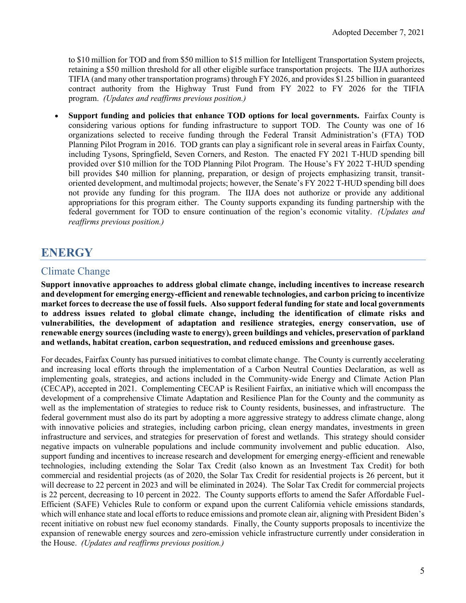to \$10 million for TOD and from \$50 million to \$15 million for Intelligent Transportation System projects, retaining a \$50 million threshold for all other eligible surface transportation projects. The IIJA authorizes TIFIA (and many other transportation programs) through FY 2026, and provides \$1.25 billion in guaranteed contract authority from the Highway Trust Fund from FY 2022 to FY 2026 for the TIFIA program. *(Updates and reaffirms previous position.)* 

• **Support funding and policies that enhance TOD options for local governments.** Fairfax County is considering various options for funding infrastructure to support TOD. The County was one of 16 organizations selected to receive funding through the Federal Transit Administration's (FTA) TOD Planning Pilot Program in 2016. TOD grants can play a significant role in several areas in Fairfax County, including Tysons, Springfield, Seven Corners, and Reston. The enacted FY 2021 T-HUD spending bill provided over \$10 million for the TOD Planning Pilot Program. The House's FY 2022 T-HUD spending bill provides \$40 million for planning, preparation, or design of projects emphasizing transit, transitoriented development, and multimodal projects; however, the Senate's FY 2022 T-HUD spending bill does not provide any funding for this program. The IIJA does not authorize or provide any additional appropriations for this program either. The County supports expanding its funding partnership with the federal government for TOD to ensure continuation of the region's economic vitality. *(Updates and reaffirms previous position.)* 

## <span id="page-5-0"></span>**ENERGY**

#### <span id="page-5-1"></span>Climate Change

**Support innovative approaches to address global climate change, including incentives to increase research and development for emerging energy-efficient and renewable technologies, and carbon pricing to incentivize market forces to decrease the use of fossil fuels. Also support federal funding for state and local governments to address issues related to global climate change, including the identification of climate risks and vulnerabilities, the development of adaptation and resilience strategies, energy conservation, use of renewable energy sources (including waste to energy), green buildings and vehicles, preservation of parkland and wetlands, habitat creation, carbon sequestration, and reduced emissions and greenhouse gases.**

For decades, Fairfax County has pursued initiatives to combat climate change. The County is currently accelerating and increasing local efforts through the implementation of a Carbon Neutral Counties Declaration, as well as implementing goals, strategies, and actions included in the Community-wide Energy and Climate Action Plan (CECAP), accepted in 2021. Complementing CECAP is Resilient Fairfax, an initiative which will encompass the development of a comprehensive Climate Adaptation and Resilience Plan for the County and the community as well as the implementation of strategies to reduce risk to County residents, businesses, and infrastructure. The federal government must also do its part by adopting a more aggressive strategy to address climate change, along with innovative policies and strategies, including carbon pricing, clean energy mandates, investments in green infrastructure and services, and strategies for preservation of forest and wetlands. This strategy should consider negative impacts on vulnerable populations and include community involvement and public education. Also, support funding and incentives to increase research and development for emerging energy-efficient and renewable technologies, including extending the Solar Tax Credit (also known as an Investment Tax Credit) for both commercial and residential projects (as of 2020, the Solar Tax Credit for residential projects is 26 percent, but it will decrease to 22 percent in 2023 and will be eliminated in 2024). The Solar Tax Credit for commercial projects is 22 percent, decreasing to 10 percent in 2022. The County supports efforts to amend the Safer Affordable Fuel-Efficient (SAFE) Vehicles Rule to conform or expand upon the current California vehicle emissions standards, which will enhance state and local efforts to reduce emissions and promote clean air, aligning with President Biden's recent initiative on robust new fuel economy standards. Finally, the County supports proposals to incentivize the expansion of renewable energy sources and zero-emission vehicle infrastructure currently under consideration in the House. *(Updates and reaffirms previous position.)*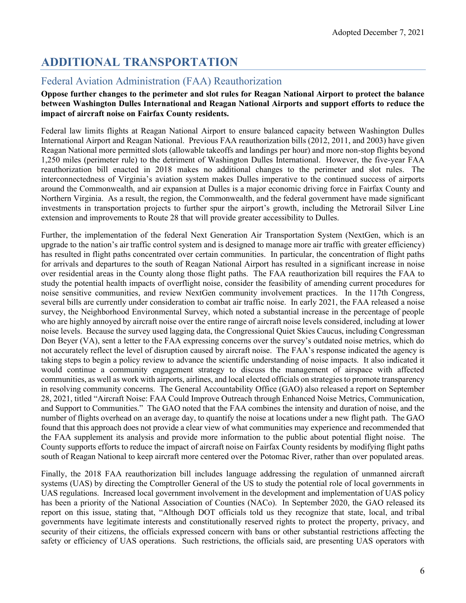## <span id="page-6-0"></span>**ADDITIONAL TRANSPORTATION**

### <span id="page-6-1"></span>Federal Aviation Administration (FAA) Reauthorization

#### **Oppose further changes to the perimeter and slot rules for Reagan National Airport to protect the balance between Washington Dulles International and Reagan National Airports and support efforts to reduce the impact of aircraft noise on Fairfax County residents.**

Federal law limits flights at Reagan National Airport to ensure balanced capacity between Washington Dulles International Airport and Reagan National. Previous FAA reauthorization bills (2012, 2011, and 2003) have given Reagan National more permitted slots (allowable takeoffs and landings per hour) and more non-stop flights beyond 1,250 miles (perimeter rule) to the detriment of Washington Dulles International. However, the five-year FAA reauthorization bill enacted in 2018 makes no additional changes to the perimeter and slot rules. The interconnectedness of Virginia's aviation system makes Dulles imperative to the continued success of airports around the Commonwealth, and air expansion at Dulles is a major economic driving force in Fairfax County and Northern Virginia. As a result, the region, the Commonwealth, and the federal government have made significant investments in transportation projects to further spur the airport's growth, including the Metrorail Silver Line extension and improvements to Route 28 that will provide greater accessibility to Dulles.

Further, the implementation of the federal Next Generation Air Transportation System (NextGen, which is an upgrade to the nation's air traffic control system and is designed to manage more air traffic with greater efficiency) has resulted in flight paths concentrated over certain communities. In particular, the concentration of flight paths for arrivals and departures to the south of Reagan National Airport has resulted in a significant increase in noise over residential areas in the County along those flight paths. The FAA reauthorization bill requires the FAA to study the potential health impacts of overflight noise, consider the feasibility of amending current procedures for noise sensitive communities, and review NextGen community involvement practices. In the 117th Congress, several bills are currently under consideration to combat air traffic noise. In early 2021, the FAA released a noise survey, the Neighborhood Environmental Survey, which noted a substantial increase in the percentage of people who are highly annoyed by aircraft noise over the entire range of aircraft noise levels considered, including at lower noise levels. Because the survey used lagging data, the Congressional Quiet Skies Caucus, including Congressman Don Beyer (VA), sent a letter to the FAA expressing concerns over the survey's outdated noise metrics, which do not accurately reflect the level of disruption caused by aircraft noise. The FAA's response indicated the agency is taking steps to begin a policy review to advance the scientific understanding of noise impacts. It also indicated it would continue a community engagement strategy to discuss the management of airspace with affected communities, as well as work with airports, airlines, and local elected officials on strategies to promote transparency in resolving community concerns. The General Accountability Office (GAO) also released a report on September 28, 2021, titled "Aircraft Noise: FAA Could Improve Outreach through Enhanced Noise Metrics, Communication, and Support to Communities." The GAO noted that the FAA combines the intensity and duration of noise, and the number of flights overhead on an average day, to quantify the noise at locations under a new flight path. The GAO found that this approach does not provide a clear view of what communities may experience and recommended that the FAA supplement its analysis and provide more information to the public about potential flight noise. The County supports efforts to reduce the impact of aircraft noise on Fairfax County residents by modifying flight paths south of Reagan National to keep aircraft more centered over the Potomac River, rather than over populated areas.

Finally, the 2018 FAA reauthorization bill includes language addressing the regulation of unmanned aircraft systems (UAS) by directing the Comptroller General of the US to study the potential role of local governments in UAS regulations. Increased local government involvement in the development and implementation of UAS policy has been a priority of the National Association of Counties (NACo). In September 2020, the GAO released its report on this issue, stating that, "Although DOT officials told us they recognize that state, local, and tribal governments have legitimate interests and constitutionally reserved rights to protect the property, privacy, and security of their citizens, the officials expressed concern with bans or other substantial restrictions affecting the safety or efficiency of UAS operations. Such restrictions, the officials said, are presenting UAS operators with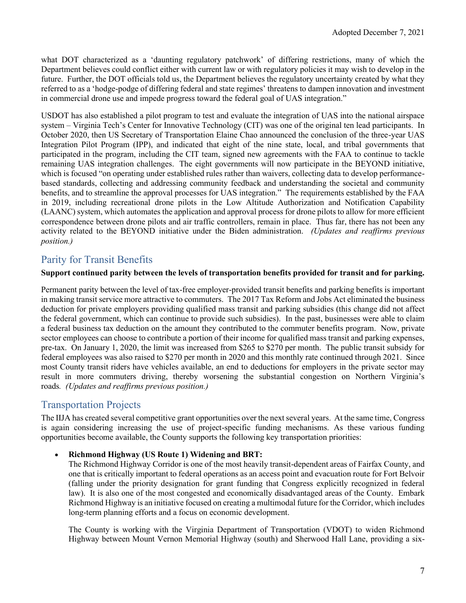what DOT characterized as a 'daunting regulatory patchwork' of differing restrictions, many of which the Department believes could conflict either with current law or with regulatory policies it may wish to develop in the future. Further, the DOT officials told us, the Department believes the regulatory uncertainty created by what they referred to as a 'hodge-podge of differing federal and state regimes' threatens to dampen innovation and investment in commercial drone use and impede progress toward the federal goal of UAS integration."

USDOT has also established a pilot program to test and evaluate the integration of UAS into the national airspace system – Virginia Tech's Center for Innovative Technology (CIT) was one of the original ten lead participants. In October 2020, then US Secretary of Transportation Elaine Chao announced the conclusion of the three-year UAS Integration Pilot Program (IPP), and indicated that eight of the nine state, local, and tribal governments that participated in the program, including the CIT team, signed new agreements with the FAA to continue to tackle remaining UAS integration challenges. The eight governments will now participate in the BEYOND initiative, which is focused "on operating under established rules rather than waivers, collecting data to develop performancebased standards, collecting and addressing community feedback and understanding the societal and community benefits, and to streamline the approval processes for UAS integration." The requirements established by the FAA in 2019, including recreational drone pilots in the Low Altitude Authorization and Notification Capability (LAANC) system, which automates the application and approval process for drone pilots to allow for more efficient correspondence between drone pilots and air traffic controllers, remain in place. Thus far, there has not been any activity related to the BEYOND initiative under the Biden administration. *(Updates and reaffirms previous position.)*

#### <span id="page-7-0"></span>Parity for Transit Benefits

#### **Support continued parity between the levels of transportation benefits provided for transit and for parking.**

Permanent parity between the level of tax-free employer-provided transit benefits and parking benefits is important in making transit service more attractive to commuters. The 2017 Tax Reform and Jobs Act eliminated the business deduction for private employers providing qualified mass transit and parking subsidies (this change did not affect the federal government, which can continue to provide such subsidies). In the past, businesses were able to claim a federal business tax deduction on the amount they contributed to the commuter benefits program. Now, private sector employees can choose to contribute a portion of their income for qualified mass transit and parking expenses, pre-tax. On January 1, 2020, the limit was increased from \$265 to \$270 per month. The public transit subsidy for federal employees was also raised to \$270 per month in 2020 and this monthly rate continued through 2021. Since most County transit riders have vehicles available, an end to deductions for employers in the private sector may result in more commuters driving, thereby worsening the substantial congestion on Northern Virginia's roads*. (Updates and reaffirms previous position.)*

#### <span id="page-7-1"></span>Transportation Projects

The IIJA has created several competitive grant opportunities over the next several years. At the same time, Congress is again considering increasing the use of project-specific funding mechanisms. As these various funding opportunities become available, the County supports the following key transportation priorities:

#### • **Richmond Highway (US Route 1) Widening and BRT:**

The Richmond Highway Corridor is one of the most heavily transit-dependent areas of Fairfax County, and one that is critically important to federal operations as an access point and evacuation route for Fort Belvoir (falling under the priority designation for grant funding that Congress explicitly recognized in federal law). It is also one of the most congested and economically disadvantaged areas of the County. Embark Richmond Highway is an initiative focused on creating a multimodal future for the Corridor, which includes long-term planning efforts and a focus on economic development.

The County is working with the Virginia Department of Transportation (VDOT) to widen Richmond Highway between Mount Vernon Memorial Highway (south) and Sherwood Hall Lane, providing a six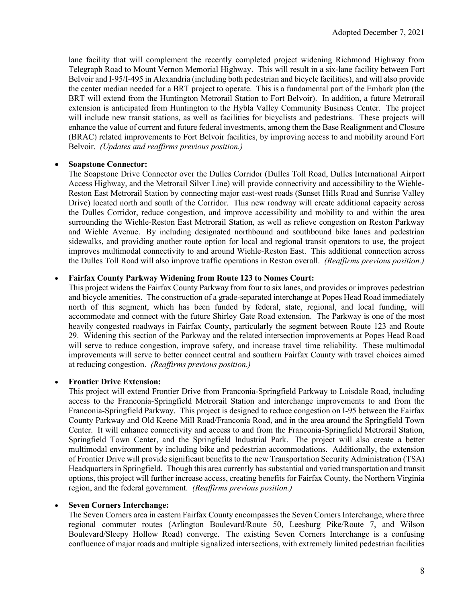lane facility that will complement the recently completed project widening Richmond Highway from Telegraph Road to Mount Vernon Memorial Highway. This will result in a six-lane facility between Fort Belvoir and I-95/I-495 in Alexandria (including both pedestrian and bicycle facilities), and will also provide the center median needed for a BRT project to operate. This is a fundamental part of the Embark plan (the BRT will extend from the Huntington Metrorail Station to Fort Belvoir). In addition, a future Metrorail extension is anticipated from Huntington to the Hybla Valley Community Business Center. The project will include new transit stations, as well as facilities for bicyclists and pedestrians. These projects will enhance the value of current and future federal investments, among them the Base Realignment and Closure (BRAC) related improvements to Fort Belvoir facilities, by improving access to and mobility around Fort Belvoir. *(Updates and reaffirms previous position.)*

#### • **Soapstone Connector:**

The Soapstone Drive Connector over the Dulles Corridor (Dulles Toll Road, Dulles International Airport Access Highway, and the Metrorail Silver Line) will provide connectivity and accessibility to the Wiehle-Reston East Metrorail Station by connecting major east-west roads (Sunset Hills Road and Sunrise Valley Drive) located north and south of the Corridor. This new roadway will create additional capacity across the Dulles Corridor, reduce congestion, and improve accessibility and mobility to and within the area surrounding the Wiehle-Reston East Metrorail Station, as well as relieve congestion on Reston Parkway and Wiehle Avenue. By including designated northbound and southbound bike lanes and pedestrian sidewalks, and providing another route option for local and regional transit operators to use, the project improves multimodal connectivity to and around Wiehle-Reston East. This additional connection across the Dulles Toll Road will also improve traffic operations in Reston overall. *(Reaffirms previous position.)*

#### • **Fairfax County Parkway Widening from Route 123 to Nomes Court:**

This project widens the Fairfax County Parkway from four to six lanes, and provides or improves pedestrian and bicycle amenities. The construction of a grade-separated interchange at Popes Head Road immediately north of this segment, which has been funded by federal, state, regional, and local funding, will accommodate and connect with the future Shirley Gate Road extension. The Parkway is one of the most heavily congested roadways in Fairfax County, particularly the segment between Route 123 and Route 29. Widening this section of the Parkway and the related intersection improvements at Popes Head Road will serve to reduce congestion, improve safety, and increase travel time reliability. These multimodal improvements will serve to better connect central and southern Fairfax County with travel choices aimed at reducing congestion. *(Reaffirms previous position.)*

#### • **Frontier Drive Extension:**

This project will extend Frontier Drive from Franconia-Springfield Parkway to Loisdale Road, including access to the Franconia-Springfield Metrorail Station and interchange improvements to and from the Franconia-Springfield Parkway. This project is designed to reduce congestion on I-95 between the Fairfax County Parkway and Old Keene Mill Road/Franconia Road, and in the area around the Springfield Town Center. It will enhance connectivity and access to and from the Franconia-Springfield Metrorail Station, Springfield Town Center, and the Springfield Industrial Park. The project will also create a better multimodal environment by including bike and pedestrian accommodations. Additionally, the extension of Frontier Drive will provide significant benefits to the new Transportation Security Administration (TSA) Headquarters in Springfield. Though this area currently has substantial and varied transportation and transit options, this project will further increase access, creating benefits for Fairfax County, the Northern Virginia region, and the federal government. *(Reaffirms previous position.)*

#### • **Seven Corners Interchange:**

The Seven Corners area in eastern Fairfax County encompasses the Seven Corners Interchange, where three regional commuter routes (Arlington Boulevard/Route 50, Leesburg Pike/Route 7, and Wilson Boulevard/Sleepy Hollow Road) converge. The existing Seven Corners Interchange is a confusing confluence of major roads and multiple signalized intersections, with extremely limited pedestrian facilities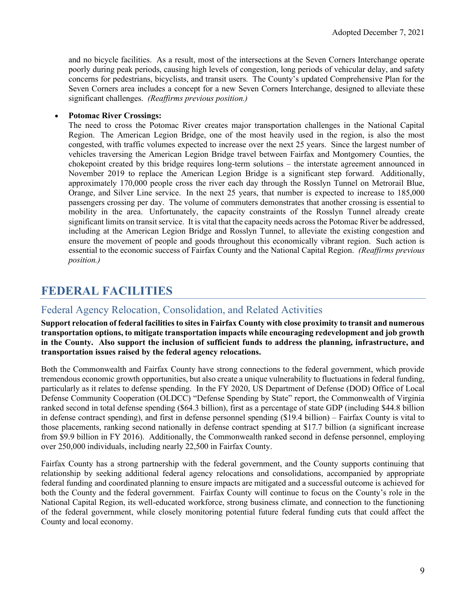and no bicycle facilities. As a result, most of the intersections at the Seven Corners Interchange operate poorly during peak periods, causing high levels of congestion, long periods of vehicular delay, and safety concerns for pedestrians, bicyclists, and transit users. The County's updated Comprehensive Plan for the Seven Corners area includes a concept for a new Seven Corners Interchange, designed to alleviate these significant challenges. *(Reaffirms previous position.)*

#### • **Potomac River Crossings:**

The need to cross the Potomac River creates major transportation challenges in the National Capital Region. The American Legion Bridge, one of the most heavily used in the region, is also the most congested, with traffic volumes expected to increase over the next 25 years. Since the largest number of vehicles traversing the American Legion Bridge travel between Fairfax and Montgomery Counties, the chokepoint created by this bridge requires long-term solutions – the interstate agreement announced in November 2019 to replace the American Legion Bridge is a significant step forward. Additionally, approximately 170,000 people cross the river each day through the Rosslyn Tunnel on Metrorail Blue, Orange, and Silver Line service. In the next 25 years, that number is expected to increase to 185,000 passengers crossing per day. The volume of commuters demonstrates that another crossing is essential to mobility in the area. Unfortunately, the capacity constraints of the Rosslyn Tunnel already create significant limits on transit service. It is vital that the capacity needs across the Potomac River be addressed, including at the American Legion Bridge and Rosslyn Tunnel, to alleviate the existing congestion and ensure the movement of people and goods throughout this economically vibrant region. Such action is essential to the economic success of Fairfax County and the National Capital Region. *(Reaffirms previous position.)* 

## <span id="page-9-0"></span>**FEDERAL FACILITIES**

#### <span id="page-9-1"></span>Federal Agency Relocation, Consolidation, and Related Activities

**Support relocation of federal facilities to sites in Fairfax County with close proximity to transit and numerous transportation options, to mitigate transportation impacts while encouraging redevelopment and job growth in the County. Also support the inclusion of sufficient funds to address the planning, infrastructure, and transportation issues raised by the federal agency relocations.**

Both the Commonwealth and Fairfax County have strong connections to the federal government, which provide tremendous economic growth opportunities, but also create a unique vulnerability to fluctuations in federal funding, particularly as it relates to defense spending. In the FY 2020, US Department of Defense (DOD) Office of Local Defense Community Cooperation (OLDCC) "Defense Spending by State" report, the Commonwealth of Virginia ranked second in total defense spending (\$64.3 billion), first as a percentage of state GDP (including \$44.8 billion in defense contract spending), and first in defense personnel spending (\$19.4 billion) – Fairfax County is vital to those placements, ranking second nationally in defense contract spending at \$17.7 billion (a significant increase from \$9.9 billion in FY 2016). Additionally, the Commonwealth ranked second in defense personnel, employing over 250,000 individuals, including nearly 22,500 in Fairfax County.

Fairfax County has a strong partnership with the federal government, and the County supports continuing that relationship by seeking additional federal agency relocations and consolidations, accompanied by appropriate federal funding and coordinated planning to ensure impacts are mitigated and a successful outcome is achieved for both the County and the federal government. Fairfax County will continue to focus on the County's role in the National Capital Region, its well-educated workforce, strong business climate, and connection to the functioning of the federal government, while closely monitoring potential future federal funding cuts that could affect the County and local economy.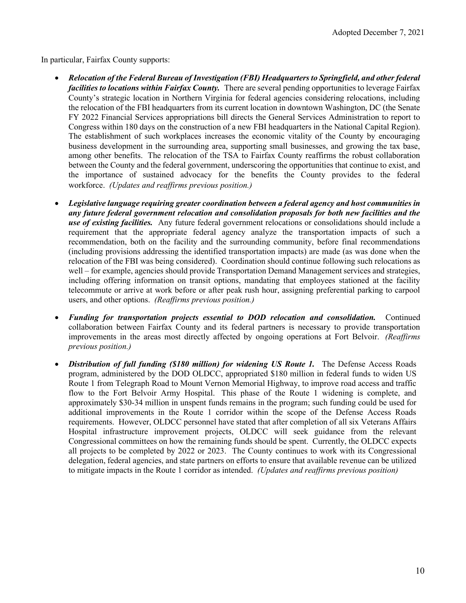In particular, Fairfax County supports:

- *Relocation of the Federal Bureau of Investigation (FBI) Headquarters to Springfield, and other federal facilities to locations within Fairfax County.* There are several pending opportunities to leverage Fairfax County's strategic location in Northern Virginia for federal agencies considering relocations, including the relocation of the FBI headquarters from its current location in downtown Washington, DC (the Senate FY 2022 Financial Services appropriations bill directs the General Services Administration to report to Congress within 180 days on the construction of a new FBI headquarters in the National Capital Region). The establishment of such workplaces increases the economic vitality of the County by encouraging business development in the surrounding area, supporting small businesses, and growing the tax base, among other benefits. The relocation of the TSA to Fairfax County reaffirms the robust collaboration between the County and the federal government, underscoring the opportunities that continue to exist, and the importance of sustained advocacy for the benefits the County provides to the federal workforce. *(Updates and reaffirms previous position.)*
- *Legislative language requiring greater coordination between a federal agency and host communities in any future federal government relocation and consolidation proposals for both new facilities and the use of existing facilities.* Any future federal government relocations or consolidations should include a requirement that the appropriate federal agency analyze the transportation impacts of such a recommendation, both on the facility and the surrounding community, before final recommendations (including provisions addressing the identified transportation impacts) are made (as was done when the relocation of the FBI was being considered). Coordination should continue following such relocations as well – for example, agencies should provide Transportation Demand Management services and strategies, including offering information on transit options, mandating that employees stationed at the facility telecommute or arrive at work before or after peak rush hour, assigning preferential parking to carpool users, and other options. *(Reaffirms previous position.)*
- *Funding for transportation projects essential to DOD relocation and consolidation.* Continued collaboration between Fairfax County and its federal partners is necessary to provide transportation improvements in the areas most directly affected by ongoing operations at Fort Belvoir. *(Reaffirms previous position.)*
- *Distribution of full funding (\$180 million) for widening US Route 1.* The Defense Access Roads program, administered by the DOD OLDCC, appropriated \$180 million in federal funds to widen US Route 1 from Telegraph Road to Mount Vernon Memorial Highway, to improve road access and traffic flow to the Fort Belvoir Army Hospital. This phase of the Route 1 widening is complete, and approximately \$30-34 million in unspent funds remains in the program; such funding could be used for additional improvements in the Route 1 corridor within the scope of the Defense Access Roads requirements. However, OLDCC personnel have stated that after completion of all six Veterans Affairs Hospital infrastructure improvement projects, OLDCC will seek guidance from the relevant Congressional committees on how the remaining funds should be spent. Currently, the OLDCC expects all projects to be completed by 2022 or 2023. The County continues to work with its Congressional delegation, federal agencies, and state partners on efforts to ensure that available revenue can be utilized to mitigate impacts in the Route 1 corridor as intended. *(Updates and reaffirms previous position)*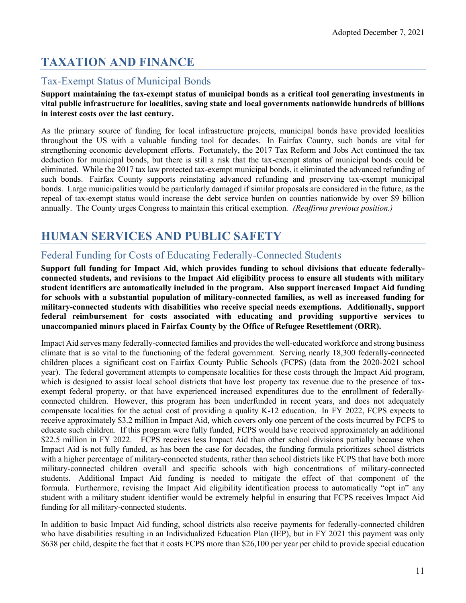## <span id="page-11-0"></span>**TAXATION AND FINANCE**

### <span id="page-11-1"></span>Tax-Exempt Status of Municipal Bonds

#### **Support maintaining the tax-exempt status of municipal bonds as a critical tool generating investments in vital public infrastructure for localities, saving state and local governments nationwide hundreds of billions in interest costs over the last century.**

As the primary source of funding for local infrastructure projects, municipal bonds have provided localities throughout the US with a valuable funding tool for decades. In Fairfax County, such bonds are vital for strengthening economic development efforts. Fortunately, the 2017 Tax Reform and Jobs Act continued the tax deduction for municipal bonds, but there is still a risk that the tax-exempt status of municipal bonds could be eliminated. While the 2017 tax law protected tax-exempt municipal bonds, it eliminated the advanced refunding of such bonds. Fairfax County supports reinstating advanced refunding and preserving tax-exempt municipal bonds. Large municipalities would be particularly damaged if similar proposals are considered in the future, as the repeal of tax-exempt status would increase the debt service burden on counties nationwide by over \$9 billion annually. The County urges Congress to maintain this critical exemption*. (Reaffirms previous position.)*

## <span id="page-11-2"></span>**HUMAN SERVICES AND PUBLIC SAFETY**

### <span id="page-11-3"></span>Federal Funding for Costs of Educating Federally-Connected Students

**Support full funding for Impact Aid, which provides funding to school divisions that educate federallyconnected students, and revisions to the Impact Aid eligibility process to ensure all students with military student identifiers are automatically included in the program. Also support increased Impact Aid funding for schools with a substantial population of military-connected families, as well as increased funding for military-connected students with disabilities who receive special needs exemptions. Additionally, support federal reimbursement for costs associated with educating and providing supportive services to unaccompanied minors placed in Fairfax County by the Office of Refugee Resettlement (ORR).**

Impact Aid serves many federally-connected families and provides the well-educated workforce and strong business climate that is so vital to the functioning of the federal government. Serving nearly 18,300 federally-connected children places a significant cost on Fairfax County Public Schools (FCPS) (data from the 2020-2021 school year). The federal government attempts to compensate localities for these costs through the Impact Aid program, which is designed to assist local school districts that have lost property tax revenue due to the presence of taxexempt federal property, or that have experienced increased expenditures due to the enrollment of federallyconnected children. However, this program has been underfunded in recent years, and does not adequately compensate localities for the actual cost of providing a quality K-12 education. In FY 2022, FCPS expects to receive approximately \$3.2 million in Impact Aid, which covers only one percent of the costs incurred by FCPS to educate such children. If this program were fully funded, FCPS would have received approximately an additional \$22.5 million in FY 2022. FCPS receives less Impact Aid than other school divisions partially because when Impact Aid is not fully funded, as has been the case for decades, the funding formula prioritizes school districts with a higher percentage of military-connected students, rather than school districts like FCPS that have both more military-connected children overall and specific schools with high concentrations of military-connected students. Additional Impact Aid funding is needed to mitigate the effect of that component of the formula. Furthermore, revising the Impact Aid eligibility identification process to automatically "opt in" any student with a military student identifier would be extremely helpful in ensuring that FCPS receives Impact Aid funding for all military-connected students.

In addition to basic Impact Aid funding, school districts also receive payments for federally-connected children who have disabilities resulting in an Individualized Education Plan (IEP), but in FY 2021 this payment was only \$638 per child, despite the fact that it costs FCPS more than \$26,100 per year per child to provide special education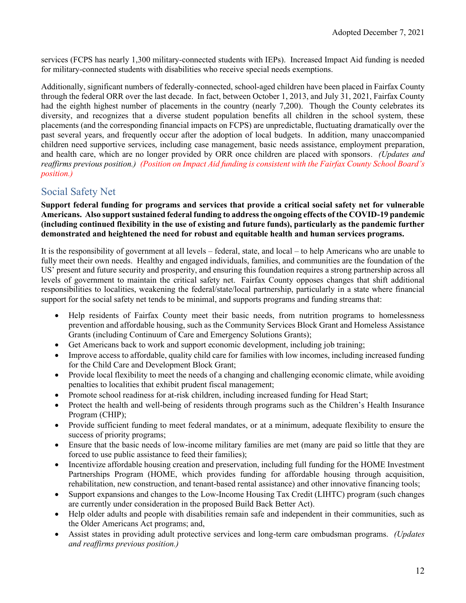services (FCPS has nearly 1,300 military-connected students with IEPs). Increased Impact Aid funding is needed for military-connected students with disabilities who receive special needs exemptions.

Additionally, significant numbers of federally-connected, school-aged children have been placed in Fairfax County through the federal ORR over the last decade. In fact, between October 1, 2013, and July 31, 2021, Fairfax County had the eighth highest number of placements in the country (nearly 7,200). Though the County celebrates its diversity, and recognizes that a diverse student population benefits all children in the school system, these placements (and the corresponding financial impacts on FCPS) are unpredictable, fluctuating dramatically over the past several years, and frequently occur after the adoption of local budgets. In addition, many unaccompanied children need supportive services, including case management, basic needs assistance, employment preparation, and health care, which are no longer provided by ORR once children are placed with sponsors. *(Updates and reaffirms previous position.) (Position on Impact Aid funding is consistent with the Fairfax County School Board's position.)*

#### <span id="page-12-0"></span>Social Safety Net

**Support federal funding for programs and services that provide a critical social safety net for vulnerable Americans. Also support sustained federal funding to address the ongoing effects of the COVID-19 pandemic (including continued flexibility in the use of existing and future funds), particularly as the pandemic further demonstrated and heightened the need for robust and equitable health and human services programs.**

It is the responsibility of government at all levels – federal, state, and local – to help Americans who are unable to fully meet their own needs. Healthy and engaged individuals, families, and communities are the foundation of the US' present and future security and prosperity, and ensuring this foundation requires a strong partnership across all levels of government to maintain the critical safety net. Fairfax County opposes changes that shift additional responsibilities to localities, weakening the federal/state/local partnership, particularly in a state where financial support for the social safety net tends to be minimal, and supports programs and funding streams that:

- Help residents of Fairfax County meet their basic needs, from nutrition programs to homelessness prevention and affordable housing, such as the Community Services Block Grant and Homeless Assistance Grants (including Continuum of Care and Emergency Solutions Grants);
- Get Americans back to work and support economic development, including job training;
- Improve access to affordable, quality child care for families with low incomes, including increased funding for the Child Care and Development Block Grant;
- Provide local flexibility to meet the needs of a changing and challenging economic climate, while avoiding penalties to localities that exhibit prudent fiscal management;
- Promote school readiness for at-risk children, including increased funding for Head Start;
- Protect the health and well-being of residents through programs such as the Children's Health Insurance Program (CHIP);
- Provide sufficient funding to meet federal mandates, or at a minimum, adequate flexibility to ensure the success of priority programs;
- Ensure that the basic needs of low-income military families are met (many are paid so little that they are forced to use public assistance to feed their families);
- Incentivize affordable housing creation and preservation, including full funding for the HOME Investment Partnerships Program (HOME, which provides funding for affordable housing through acquisition. rehabilitation, new construction, and tenant-based rental assistance) and other innovative financing tools;
- Support expansions and changes to the Low-Income Housing Tax Credit (LIHTC) program (such changes are currently under consideration in the proposed Build Back Better Act).
- Help older adults and people with disabilities remain safe and independent in their communities, such as the Older Americans Act programs; and,
- Assist states in providing adult protective services and long-term care ombudsman programs. *(Updates and reaffirms previous position.)*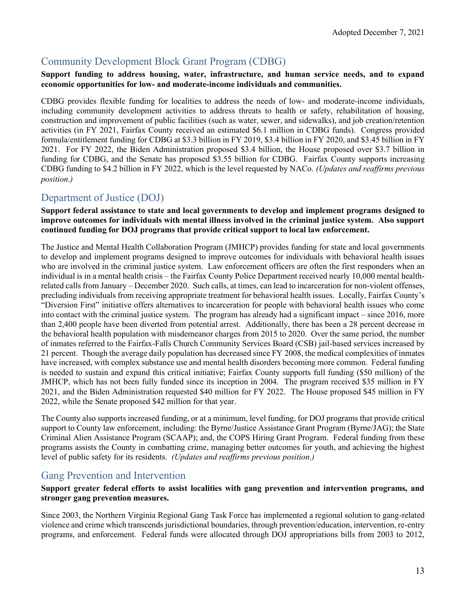### <span id="page-13-0"></span>Community Development Block Grant Program (CDBG)

#### **Support funding to address housing, water, infrastructure, and human service needs, and to expand economic opportunities for low- and moderate-income individuals and communities.**

CDBG provides flexible funding for localities to address the needs of low- and moderate-income individuals, including community development activities to address threats to health or safety, rehabilitation of housing, construction and improvement of public facilities (such as water, sewer, and sidewalks), and job creation/retention activities (in FY 2021, Fairfax County received an estimated \$6.1 million in CDBG funds). Congress provided formula/entitlement funding for CDBG at \$3.3 billion in FY 2019, \$3.4 billion in FY 2020, and \$3.45 billion in FY 2021. For FY 2022, the Biden Administration proposed \$3.4 billion, the House proposed over \$3.7 billion in funding for CDBG, and the Senate has proposed \$3.55 billion for CDBG. Fairfax County supports increasing CDBG funding to \$4.2 billion in FY 2022, which is the level requested by NACo. *(Updates and reaffirms previous position.)*

### <span id="page-13-1"></span>Department of Justice (DOJ)

#### **Support federal assistance to state and local governments to develop and implement programs designed to improve outcomes for individuals with mental illness involved in the criminal justice system. Also support continued funding for DOJ programs that provide critical support to local law enforcement.**

The Justice and Mental Health Collaboration Program (JMHCP) provides funding for state and local governments to develop and implement programs designed to improve outcomes for individuals with behavioral health issues who are involved in the criminal justice system. Law enforcement officers are often the first responders when an individual is in a mental health crisis – the Fairfax County Police Department received nearly 10,000 mental healthrelated calls from January – December 2020. Such calls, at times, can lead to incarceration for non-violent offenses, precluding individuals from receiving appropriate treatment for behavioral health issues. Locally, Fairfax County's "Diversion First" initiative offers alternatives to incarceration for people with behavioral health issues who come into contact with the criminal justice system. The program has already had a significant impact – since 2016, more than 2,400 people have been diverted from potential arrest. Additionally, there has been a 28 percent decrease in the behavioral health population with misdemeanor charges from 2015 to 2020. Over the same period, the number of inmates referred to the Fairfax-Falls Church Community Services Board (CSB) jail-based services increased by 21 percent. Though the average daily population has decreased since FY 2008, the medical complexities of inmates have increased, with complex substance use and mental health disorders becoming more common. Federal funding is needed to sustain and expand this critical initiative; Fairfax County supports full funding (\$50 million) of the JMHCP, which has not been fully funded since its inception in 2004. The program received \$35 million in FY 2021, and the Biden Administration requested \$40 million for FY 2022. The House proposed \$45 million in FY 2022, while the Senate proposed \$42 million for that year.

The County also supports increased funding, or at a minimum, level funding, for DOJ programs that provide critical support to County law enforcement, including: the Byrne/Justice Assistance Grant Program (Byrne/JAG); the State Criminal Alien Assistance Program (SCAAP); and, the COPS Hiring Grant Program. Federal funding from these programs assists the County in combatting crime, managing better outcomes for youth, and achieving the highest level of public safety for its residents. *(Updates and reaffirms previous position.)*

#### <span id="page-13-2"></span>Gang Prevention and Intervention

#### **Support greater federal efforts to assist localities with gang prevention and intervention programs, and stronger gang prevention measures.**

Since 2003, the Northern Virginia Regional Gang Task Force has implemented a regional solution to gang-related violence and crime which transcends jurisdictional boundaries, through prevention/education, intervention, re-entry programs, and enforcement. Federal funds were allocated through DOJ appropriations bills from 2003 to 2012,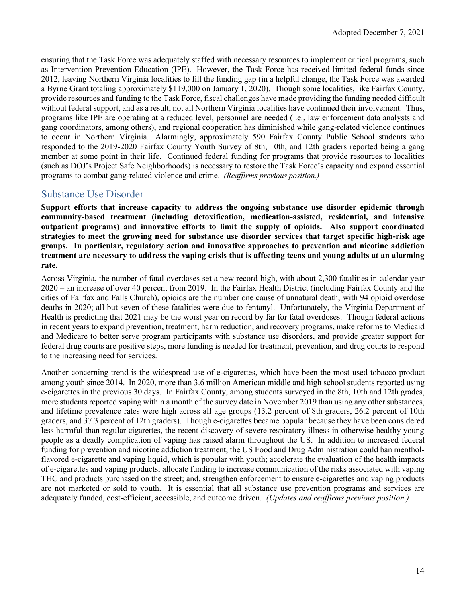ensuring that the Task Force was adequately staffed with necessary resources to implement critical programs, such as Intervention Prevention Education (IPE). However, the Task Force has received limited federal funds since 2012, leaving Northern Virginia localities to fill the funding gap (in a helpful change, the Task Force was awarded a Byrne Grant totaling approximately \$119,000 on January 1, 2020). Though some localities, like Fairfax County, provide resources and funding to the Task Force, fiscal challenges have made providing the funding needed difficult without federal support, and as a result, not all Northern Virginia localities have continued their involvement. Thus, programs like IPE are operating at a reduced level, personnel are needed (i.e., law enforcement data analysts and gang coordinators, among others), and regional cooperation has diminished while gang-related violence continues to occur in Northern Virginia. Alarmingly, approximately 590 Fairfax County Public School students who responded to the 2019-2020 Fairfax County Youth Survey of 8th, 10th, and 12th graders reported being a gang member at some point in their life. Continued federal funding for programs that provide resources to localities (such as DOJ's Project Safe Neighborhoods) is necessary to restore the Task Force's capacity and expand essential programs to combat gang-related violence and crime. *(Reaffirms previous position.)*

#### <span id="page-14-0"></span>Substance Use Disorder

**Support efforts that increase capacity to address the ongoing substance use disorder epidemic through community-based treatment (including detoxification, medication-assisted, residential, and intensive outpatient programs) and innovative efforts to limit the supply of opioids. Also support coordinated strategies to meet the growing need for substance use disorder services that target specific high-risk age groups. In particular, regulatory action and innovative approaches to prevention and nicotine addiction treatment are necessary to address the vaping crisis that is affecting teens and young adults at an alarming rate.**

Across Virginia, the number of fatal overdoses set a new record high, with about 2,300 fatalities in calendar year 2020 – an increase of over 40 percent from 2019. In the Fairfax Health District (including Fairfax County and the cities of Fairfax and Falls Church), opioids are the number one cause of unnatural death, with 94 opioid overdose deaths in 2020; all but seven of these fatalities were due to fentanyl. Unfortunately, the Virginia Department of Health is predicting that 2021 may be the worst year on record by far for fatal overdoses. Though federal actions in recent years to expand prevention, treatment, harm reduction, and recovery programs, make reforms to Medicaid and Medicare to better serve program participants with substance use disorders, and provide greater support for federal drug courts are positive steps, more funding is needed for treatment, prevention, and drug courts to respond to the increasing need for services.

Another concerning trend is the widespread use of e-cigarettes, which have been the most used tobacco product among youth since 2014. In 2020, more than 3.6 million American middle and high school students reported using e-cigarettes in the previous 30 days. In Fairfax County, among students surveyed in the 8th, 10th and 12th grades, more students reported vaping within a month of the survey date in November 2019 than using any other substances, and lifetime prevalence rates were high across all age groups (13.2 percent of 8th graders, 26.2 percent of 10th graders, and 37.3 percent of 12th graders). Though e-cigarettes became popular because they have been considered less harmful than regular cigarettes, the recent discovery of severe respiratory illness in otherwise healthy young people as a deadly complication of vaping has raised alarm throughout the US. In addition to increased federal funding for prevention and nicotine addiction treatment, the US Food and Drug Administration could ban mentholflavored e-cigarette and vaping liquid, which is popular with youth; accelerate the evaluation of the health impacts of e-cigarettes and vaping products; allocate funding to increase communication of the risks associated with vaping THC and products purchased on the street; and, strengthen enforcement to ensure e-cigarettes and vaping products are not marketed or sold to youth. It is essential that all substance use prevention programs and services are adequately funded, cost-efficient, accessible, and outcome driven. *(Updates and reaffirms previous position.)*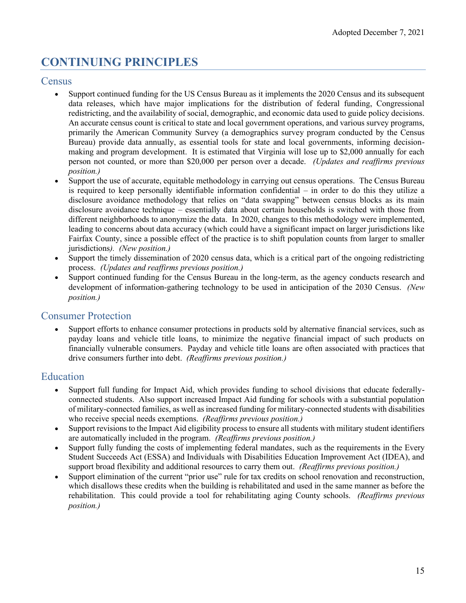## <span id="page-15-0"></span>**CONTINUING PRINCIPLES**

#### <span id="page-15-1"></span>**Census**

- Support continued funding for the US Census Bureau as it implements the 2020 Census and its subsequent data releases, which have major implications for the distribution of federal funding, Congressional redistricting, and the availability of social, demographic, and economic data used to guide policy decisions. An accurate census count is critical to state and local government operations, and various survey programs, primarily the American Community Survey (a demographics survey program conducted by the Census Bureau) provide data annually, as essential tools for state and local governments, informing decisionmaking and program development. It is estimated that Virginia will lose up to \$2,000 annually for each person not counted, or more than \$20,000 per person over a decade. *(Updates and reaffirms previous position.)*
- Support the use of accurate, equitable methodology in carrying out census operations. The Census Bureau is required to keep personally identifiable information confidential – in order to do this they utilize a disclosure avoidance methodology that relies on "data swapping" between census blocks as its main disclosure avoidance technique – essentially data about certain households is switched with those from different neighborhoods to anonymize the data. In 2020, changes to this methodology were implemented, leading to concerns about data accuracy (which could have a significant impact on larger jurisdictions like Fairfax County, since a possible effect of the practice is to shift population counts from larger to smaller jurisdictions*). (New position.)*
- Support the timely dissemination of 2020 census data, which is a critical part of the ongoing redistricting process. *(Updates and reaffirms previous position.)*
- Support continued funding for the Census Bureau in the long-term, as the agency conducts research and development of information-gathering technology to be used in anticipation of the 2030 Census. *(New position.)*

#### <span id="page-15-2"></span>Consumer Protection

• Support efforts to enhance consumer protections in products sold by alternative financial services, such as payday loans and vehicle title loans, to minimize the negative financial impact of such products on financially vulnerable consumers. Payday and vehicle title loans are often associated with practices that drive consumers further into debt. *(Reaffirms previous position.)*

#### <span id="page-15-3"></span>Education

- Support full funding for Impact Aid, which provides funding to school divisions that educate federallyconnected students. Also support increased Impact Aid funding for schools with a substantial population of military-connected families, as well as increased funding for military-connected students with disabilities who receive special needs exemptions. *(Reaffirms previous position.)*
- Support revisions to the Impact Aid eligibility process to ensure all students with military student identifiers are automatically included in the program. *(Reaffirms previous position.)*
- Support fully funding the costs of implementing federal mandates, such as the requirements in the Every Student Succeeds Act (ESSA) and Individuals with Disabilities Education Improvement Act (IDEA), and support broad flexibility and additional resources to carry them out. *(Reaffirms previous position.)*
- Support elimination of the current "prior use" rule for tax credits on school renovation and reconstruction, which disallows these credits when the building is rehabilitated and used in the same manner as before the rehabilitation. This could provide a tool for rehabilitating aging County schools. *(Reaffirms previous position.)*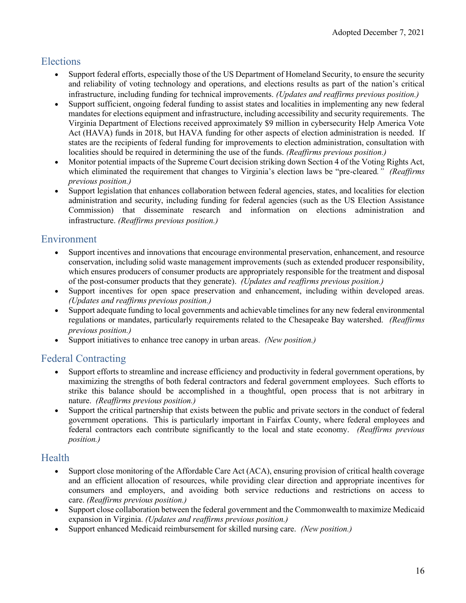#### <span id="page-16-0"></span>Elections

- Support federal efforts, especially those of the US Department of Homeland Security, to ensure the security and reliability of voting technology and operations, and elections results as part of the nation's critical infrastructure, including funding for technical improvements. *(Updates and reaffirms previous position.)*
- Support sufficient, ongoing federal funding to assist states and localities in implementing any new federal mandates for elections equipment and infrastructure, including accessibility and security requirements. The Virginia Department of Elections received approximately \$9 million in cybersecurity Help America Vote Act (HAVA) funds in 2018, but HAVA funding for other aspects of election administration is needed. If states are the recipients of federal funding for improvements to election administration, consultation with localities should be required in determining the use of the funds. *(Reaffirms previous position.)*
- Monitor potential impacts of the Supreme Court decision striking down Section 4 of the Voting Rights Act, which eliminated the requirement that changes to Virginia's election laws be "pre-cleared*." (Reaffirms previous position.)*
- Support legislation that enhances collaboration between federal agencies, states, and localities for election administration and security, including funding for federal agencies (such as the US Election Assistance Commission) that disseminate research and information on elections administration and infrastructure. *(Reaffirms previous position.)*

### <span id="page-16-1"></span>Environment

- Support incentives and innovations that encourage environmental preservation, enhancement, and resource conservation, including solid waste management improvements (such as extended producer responsibility, which ensures producers of consumer products are appropriately responsible for the treatment and disposal of the post-consumer products that they generate). *(Updates and reaffirms previous position.)*
- Support incentives for open space preservation and enhancement, including within developed areas. *(Updates and reaffirms previous position.)*
- Support adequate funding to local governments and achievable timelines for any new federal environmental regulations or mandates, particularly requirements related to the Chesapeake Bay watershed. *(Reaffirms previous position.)*
- Support initiatives to enhance tree canopy in urban areas. *(New position.)*

### <span id="page-16-2"></span>Federal Contracting

- Support efforts to streamline and increase efficiency and productivity in federal government operations, by maximizing the strengths of both federal contractors and federal government employees. Such efforts to strike this balance should be accomplished in a thoughtful, open process that is not arbitrary in nature. *(Reaffirms previous position.)*
- Support the critical partnership that exists between the public and private sectors in the conduct of federal government operations. This is particularly important in Fairfax County, where federal employees and federal contractors each contribute significantly to the local and state economy. *(Reaffirms previous position.)*

### <span id="page-16-3"></span>**Health**

- Support close monitoring of the Affordable Care Act (ACA), ensuring provision of critical health coverage and an efficient allocation of resources, while providing clear direction and appropriate incentives for consumers and employers, and avoiding both service reductions and restrictions on access to care. *(Reaffirms previous position.)*
- Support close collaboration between the federal government and the Commonwealth to maximize Medicaid expansion in Virginia. *(Updates and reaffirms previous position.)*
- Support enhanced Medicaid reimbursement for skilled nursing care. *(New position.)*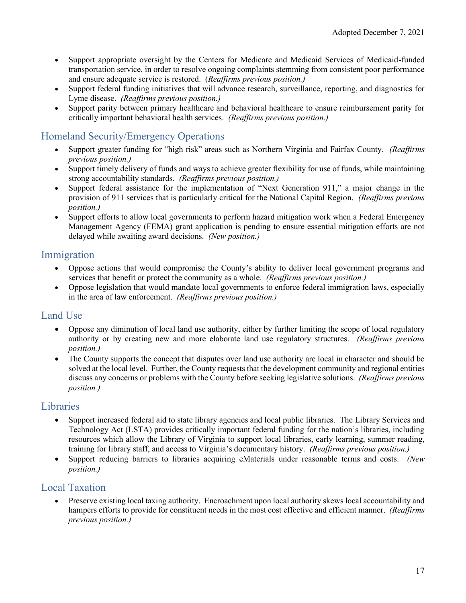- Support appropriate oversight by the Centers for Medicare and Medicaid Services of Medicaid-funded transportation service, in order to resolve ongoing complaints stemming from consistent poor performance and ensure adequate service is restored. (*Reaffirms previous position.)*
- Support federal funding initiatives that will advance research, surveillance, reporting, and diagnostics for Lyme disease. *(Reaffirms previous position.)*
- Support parity between primary healthcare and behavioral healthcare to ensure reimbursement parity for critically important behavioral health services. *(Reaffirms previous position.)*

### <span id="page-17-0"></span>Homeland Security/Emergency Operations

- Support greater funding for "high risk" areas such as Northern Virginia and Fairfax County. *(Reaffirms previous position.)*
- Support timely delivery of funds and ways to achieve greater flexibility for use of funds, while maintaining strong accountability standards. *(Reaffirms previous position.)*
- Support federal assistance for the implementation of "Next Generation 911," a major change in the provision of 911 services that is particularly critical for the National Capital Region. *(Reaffirms previous position.)*
- Support efforts to allow local governments to perform hazard mitigation work when a Federal Emergency Management Agency (FEMA) grant application is pending to ensure essential mitigation efforts are not delayed while awaiting award decisions. *(New position.)*

### <span id="page-17-1"></span>Immigration

- Oppose actions that would compromise the County's ability to deliver local government programs and services that benefit or protect the community as a whole. *(Reaffirms previous position.)*
- Oppose legislation that would mandate local governments to enforce federal immigration laws, especially in the area of law enforcement. *(Reaffirms previous position.)*

### <span id="page-17-2"></span>Land Use

- Oppose any diminution of local land use authority, either by further limiting the scope of local regulatory authority or by creating new and more elaborate land use regulatory structures. *(Reaffirms previous position.)*
- The County supports the concept that disputes over land use authority are local in character and should be solved at the local level. Further, the County requests that the development community and regional entities discuss any concerns or problems with the County before seeking legislative solutions. *(Reaffirms previous position.)*

### <span id="page-17-3"></span>**Libraries**

- Support increased federal aid to state library agencies and local public libraries. The Library Services and Technology Act (LSTA) provides critically important federal funding for the nation's libraries, including resources which allow the Library of Virginia to support local libraries, early learning, summer reading, training for library staff, and access to Virginia's documentary history. *(Reaffirms previous position.)*
- Support reducing barriers to libraries acquiring eMaterials under reasonable terms and costs. *(New position.)*

### <span id="page-17-4"></span>Local Taxation

• Preserve existing local taxing authority. Encroachment upon local authority skews local accountability and hampers efforts to provide for constituent needs in the most cost effective and efficient manner. *(Reaffirms previous position.)*